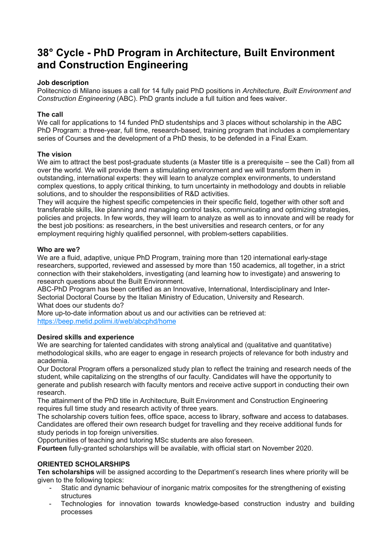# **38° Cycle - PhD Program in Architecture, Built Environment and Construction Engineering**

## **Job description**

Politecnico di Milano issues a call for 14 fully paid PhD positions in *Architecture, Built Environment and Construction Engineering* (ABC). PhD grants include a full tuition and fees waiver.

## **The call**

We call for applications to 14 funded PhD studentships and 3 places without scholarship in the ABC PhD Program: a three-year, full time, research-based, training program that includes a complementary series of Courses and the development of a PhD thesis, to be defended in a Final Exam.

#### **The vision**

We aim to attract the best post-graduate students (a Master title is a prerequisite – see the Call) from all over the world. We will provide them a stimulating environment and we will transform them in outstanding, international experts: they will learn to analyze complex environments, to understand complex questions, to apply critical thinking, to turn uncertainty in methodology and doubts in reliable solutions, and to shoulder the responsibilities of R&D activities.

They will acquire the highest specific competencies in their specific field, together with other soft and transferable skills, like planning and managing control tasks, communicating and optimizing strategies, policies and projects. In few words, they will learn to analyze as well as to innovate and will be ready for the best job positions: as researchers, in the best universities and research centers, or for any employment requiring highly qualified personnel, with problem-setters capabilities.

#### **Who are we?**

We are a fluid, adaptive, unique PhD Program, training more than 120 international early-stage researchers, supported, reviewed and assessed by more than 150 academics, all together, in a strict connection with their stakeholders, investigating (and learning how to investigate) and answering to research questions about the Built Environment.

ABC-PhD Program has been certified as an Innovative, International, Interdisciplinary and Inter-Sectorial Doctoral Course by the Italian Ministry of Education, University and Research. What does our students do?

More up-to-date information about us and our activities can be retrieved at: [https://beep.metid.polimi.it/web/abcphd/home](https://www.researchgate.net/jobderef/908700/https%3A%2F%2Fbeep.metid.polimi.it%2Fweb%2Fabcphd%2Fhome)

# **Desired skills and experience**

We are searching for talented candidates with strong analytical and (qualitative and quantitative) methodological skills, who are eager to engage in research projects of relevance for both industry and academia.

Our Doctoral Program offers a personalized study plan to reflect the training and research needs of the student, while capitalizing on the strengths of our faculty. Candidates will have the opportunity to generate and publish research with faculty mentors and receive active support in conducting their own research.

The attainment of the PhD title in Architecture, Built Environment and Construction Engineering requires full time study and research activity of three years.

The scholarship covers tuition fees, office space, access to library, software and access to databases. Candidates are offered their own research budget for travelling and they receive additional funds for study periods in top foreign universities.

Opportunities of teaching and tutoring MSc students are also foreseen.

**Fourteen** fully-granted scholarships will be available, with official start on November 2020.

# **ORIENTED SCHOLARSHIPS**

**Ten scholarships** will be assigned according to the Department's research lines where priority will be given to the following topics:

- Static and dynamic behaviour of inorganic matrix composites for the strengthening of existing structures
- Technologies for innovation towards knowledge-based construction industry and building processes